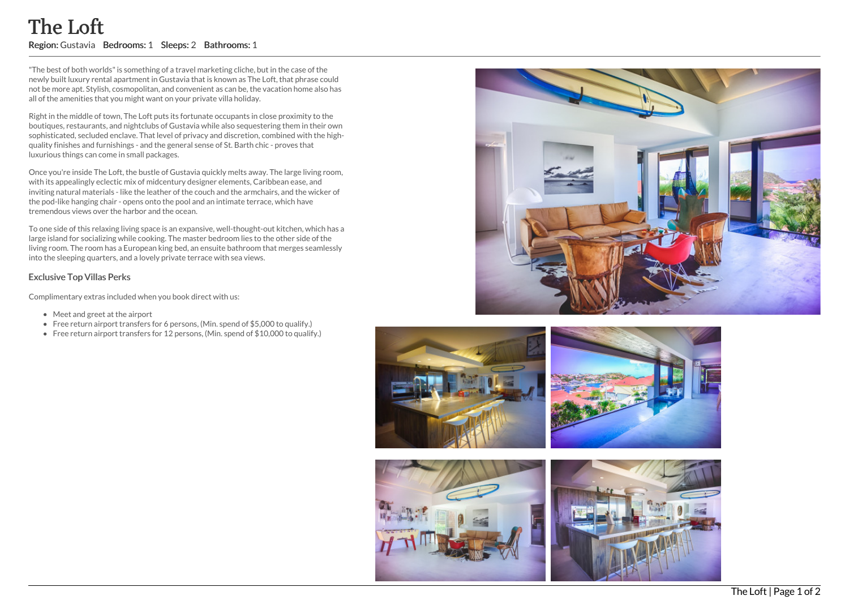## The Loft Region: Gustavia Bedrooms: 1 Sleeps: 2 Bathrooms: 1

"The best of both worlds"is something of a travel marketing cliche, but in the case of the newly built luxury rental apartment in Gustavia that is known as The Loft, that phrase could not be more apt. Stylish, cosmopolitan, and convenient as can be, the vacation home also has all of the amenities that you might want on your private villa holiday.

Right in the middle of town, The Loft puts its fortunate occupants in close proximity to the boutiques, restaurants, and nightclubs of Gustavia while also sequestering them in their own sophisticated, secluded enclave. That level of privacy and discretion, combined with the highquality finishes and furnishings - and the general sense of St. Barth chic - proves that luxurious things can come in small packages.

Once you're inside The Loft, the bustle of Gustavia quickly melts away. The large living room, with its appealingly eclectic mix of midcentury designer elements, Caribbean ease, and inviting natural materials - like the leather of the couch and the armchairs, and the wicker of the pod-like hanging chair - opens onto the pool and an intimate terrace, which have tremendous views over the harbor and the ocean.

To one side of this relaxing living space is an expansive, well-thought-out kitchen, which has a large island for socializing while cooking. The master bedroom lies to the other side of the living room. The room has a European king bed, an ensuite bathroom that merges seamlessly into the sleeping quarters, and a lovely private terrace with sea views.

## Exclusive Top Villas Perks

Complimentary extras included when you book direct with us:

- Meet and greet at the airport
- Free return airport transfers for 6 persons, (Min. spend of \$5,000 to qualify.)
- Free return airport transfers for 12 persons, (Min. spend of \$10,000 to qualify.)